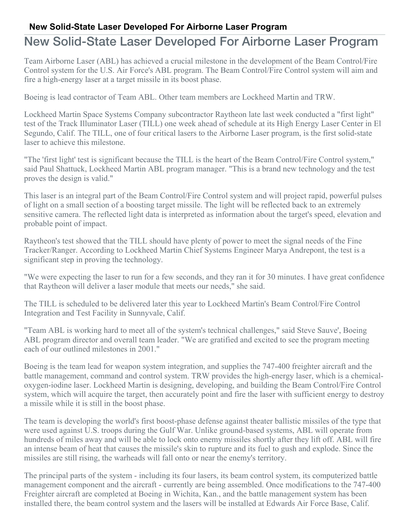## **New Solid-State Laser Developed For Airborne Laser Program**

## New Solid-State Laser Developed For Airborne Laser Program

Team Airborne Laser (ABL) has achieved a crucial milestone in the development of the Beam Control/Fire Control system for the U.S. Air Force's ABL program. The Beam Control/Fire Control system will aim and fire a high-energy laser at a target missile in its boost phase.

Boeing is lead contractor of Team ABL. Other team members are Lockheed Martin and TRW.

Lockheed Martin Space Systems Company subcontractor Raytheon late last week conducted a "first light" test of the Track Illuminator Laser (TILL) one week ahead of schedule at its High Energy Laser Center in El Segundo, Calif. The TILL, one of four critical lasers to the Airborne Laser program, is the first solid-state laser to achieve this milestone.

"The 'first light' test is significant because the TILL is the heart of the Beam Control/Fire Control system," said Paul Shattuck, Lockheed Martin ABL program manager. "This is a brand new technology and the test proves the design is valid."

This laser is an integral part of the Beam Control/Fire Control system and will project rapid, powerful pulses of light on a small section of a boosting target missile. The light will be reflected back to an extremely sensitive camera. The reflected light data is interpreted as information about the target's speed, elevation and probable point of impact.

Raytheon's test showed that the TILL should have plenty of power to meet the signal needs of the Fine Tracker/Ranger. According to Lockheed Martin Chief Systems Engineer Marya Andrepont, the test is a significant step in proving the technology.

"We were expecting the laser to run for a few seconds, and they ran it for 30 minutes. I have great confidence that Raytheon will deliver a laser module that meets our needs," she said.

The TILL is scheduled to be delivered later this year to Lockheed Martin's Beam Control/Fire Control Integration and Test Facility in Sunnyvale, Calif.

"Team ABL is working hard to meet all of the system's technical challenges," said Steve Sauve', Boeing ABL program director and overall team leader. "We are gratified and excited to see the program meeting each of our outlined milestones in 2001."

Boeing is the team lead for weapon system integration, and supplies the 747-400 freighter aircraft and the battle management, command and control system. TRW provides the high-energy laser, which is a chemicaloxygen-iodine laser. Lockheed Martin is designing, developing, and building the Beam Control/Fire Control system, which will acquire the target, then accurately point and fire the laser with sufficient energy to destroy a missile while it is still in the boost phase.

The team is developing the world's first boost-phase defense against theater ballistic missiles of the type that were used against U.S. troops during the Gulf War. Unlike ground-based systems, ABL will operate from hundreds of miles away and will be able to lock onto enemy missiles shortly after they lift off. ABL will fire an intense beam of heat that causes the missile's skin to rupture and its fuel to gush and explode. Since the missiles are still rising, the warheads will fall onto or near the enemy's territory.

The principal parts of the system - including its four lasers, its beam control system, its computerized battle management component and the aircraft - currently are being assembled. Once modifications to the 747-400 Freighter aircraft are completed at Boeing in Wichita, Kan., and the battle management system has been installed there, the beam control system and the lasers will be installed at Edwards Air Force Base, Calif.